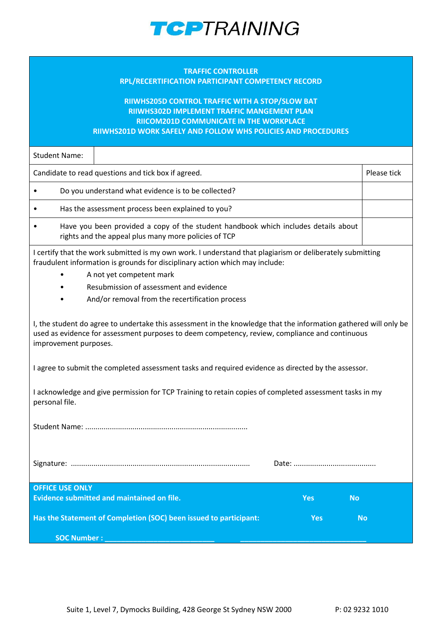

## **TRAFFIC CONTROLLER RPL/RECERTIFICATION PARTICIPANT COMPETENCY RECORD**

## **RIIWHS205D CONTROL TRAFFIC WITH A STOP/SLOW BAT RIIWHS302D IMPLEMENT TRAFFIC MANGEMENT PLAN RIICOM201D COMMUNICATE IN THE WORKPLACE RIIWHS201D WORK SAFELY AND FOLLOW WHS POLICIES AND PROCEDURES**

Student Name:

Candidate to read questions and tick box if agreed. Please tick and the please tick please tick

• Do you understand what evidence is to be collected?

• Has the assessment process been explained to you?

• Have you been provided a copy of the student handbook which includes details about rights and the appeal plus many more policies of TCP

I certify that the work submitted is my own work. I understand that plagiarism or deliberately submitting fraudulent information is grounds for disciplinary action which may include:

- A not yet competent mark
- Resubmission of assessment and evidence
- And/or removal from the recertification process

I, the student do agree to undertake this assessment in the knowledge that the information gathered will only be used as evidence for assessment purposes to deem competency, review, compliance and continuous improvement purposes.

I agree to submit the completed assessment tasks and required evidence as directed by the assessor.

I acknowledge and give permission for TCP Training to retain copies of completed assessment tasks in my personal file.

Student Name: ...............................................................................

Signature: ....................................................................................... Date: ........................................

| <b>OFFICE USE ONLY</b>                                            |     |           |
|-------------------------------------------------------------------|-----|-----------|
| Evidence submitted and maintained on file.                        | Yes | <b>No</b> |
| Has the Statement of Completion (SOC) been issued to participant: | Yes | 'No.      |
| SOC Number:                                                       |     |           |